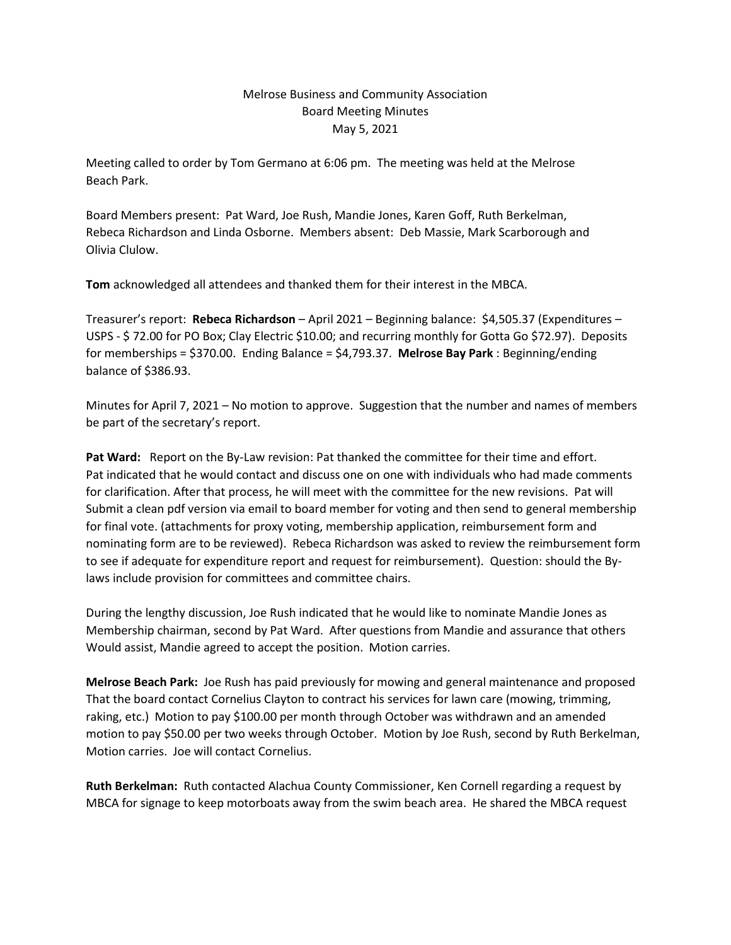## Melrose Business and Community Association Board Meeting Minutes May 5, 2021

Meeting called to order by Tom Germano at 6:06 pm. The meeting was held at the Melrose Beach Park.

Board Members present: Pat Ward, Joe Rush, Mandie Jones, Karen Goff, Ruth Berkelman, Rebeca Richardson and Linda Osborne. Members absent: Deb Massie, Mark Scarborough and Olivia Clulow.

**Tom** acknowledged all attendees and thanked them for their interest in the MBCA.

Treasurer's report: **Rebeca Richardson** – April 2021 – Beginning balance: \$4,505.37 (Expenditures – USPS - \$ 72.00 for PO Box; Clay Electric \$10.00; and recurring monthly for Gotta Go \$72.97). Deposits for memberships = \$370.00. Ending Balance = \$4,793.37. **Melrose Bay Park** : Beginning/ending balance of \$386.93.

Minutes for April 7, 2021 – No motion to approve. Suggestion that the number and names of members be part of the secretary's report.

**Pat Ward:** Report on the By-Law revision: Pat thanked the committee for their time and effort. Pat indicated that he would contact and discuss one on one with individuals who had made comments for clarification. After that process, he will meet with the committee for the new revisions. Pat will Submit a clean pdf version via email to board member for voting and then send to general membership for final vote. (attachments for proxy voting, membership application, reimbursement form and nominating form are to be reviewed). Rebeca Richardson was asked to review the reimbursement form to see if adequate for expenditure report and request for reimbursement). Question: should the Bylaws include provision for committees and committee chairs.

During the lengthy discussion, Joe Rush indicated that he would like to nominate Mandie Jones as Membership chairman, second by Pat Ward. After questions from Mandie and assurance that others Would assist, Mandie agreed to accept the position. Motion carries.

**Melrose Beach Park:** Joe Rush has paid previously for mowing and general maintenance and proposed That the board contact Cornelius Clayton to contract his services for lawn care (mowing, trimming, raking, etc.) Motion to pay \$100.00 per month through October was withdrawn and an amended motion to pay \$50.00 per two weeks through October. Motion by Joe Rush, second by Ruth Berkelman, Motion carries. Joe will contact Cornelius.

**Ruth Berkelman:** Ruth contacted Alachua County Commissioner, Ken Cornell regarding a request by MBCA for signage to keep motorboats away from the swim beach area. He shared the MBCA request